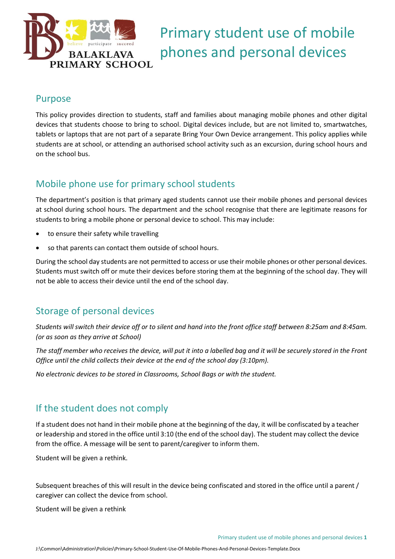

# Primary student use of mobile phones and personal devices

### Purpose

This policy provides direction to students, staff and families about managing mobile phones and other digital devices that students choose to bring to school. Digital devices include, but are not limited to, smartwatches, tablets or laptops that are not part of a separate Bring Your Own Device arrangement. This policy applies while students are at school, or attending an authorised school activity such as an excursion, during school hours and on the school bus.

# Mobile phone use for primary school students

The department's position is that primary aged students cannot use their mobile phones and personal devices at school during school hours. The department and the school recognise that there are legitimate reasons for students to bring a mobile phone or personal device to school. This may include:

- to ensure their safety while travelling
- so that parents can contact them outside of school hours.

During the school day students are not permitted to access or use their mobile phones or other personal devices. Students must switch off or mute their devices before storing them at the beginning of the school day. They will not be able to access their device until the end of the school day.

### Storage of personal devices

*Students will switch their device off or to silent and hand into the front office staff between 8:25am and 8:45am. (or as soon as they arrive at School)*

*The staff member who receives the device, will put it into a labelled bag and it will be securely stored in the Front Office until the child collects their device at the end of the school day (3:10pm).* 

*No electronic devices to be stored in Classrooms, School Bags or with the student.* 

### If the student does not comply

If a student does not hand in their mobile phone at the beginning of the day, it will be confiscated by a teacher or leadership and stored in the office until 3:10 (the end of the school day). The student may collect the device from the office. A message will be sent to parent/caregiver to inform them.

Student will be given a rethink.

Subsequent breaches of this will result in the device being confiscated and stored in the office until a parent / caregiver can collect the device from school.

Student will be given a rethink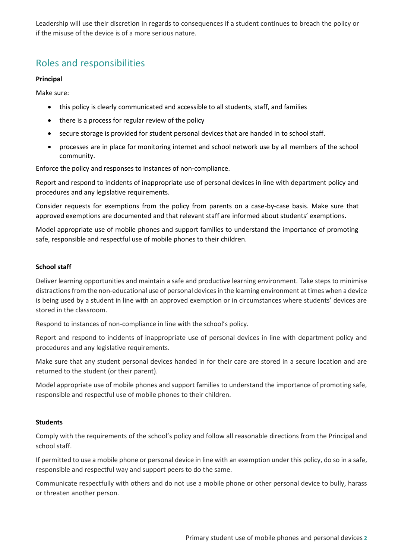Leadership will use their discretion in regards to consequences if a student continues to breach the policy or if the misuse of the device is of a more serious nature.

## Roles and responsibilities

#### **Principal**

Make sure:

- this policy is clearly communicated and accessible to all students, staff, and families
- there is a process for regular review of the policy
- secure storage is provided for student personal devices that are handed in to school staff.
- processes are in place for monitoring internet and school network use by all members of the school community.

Enforce the policy and responses to instances of non-compliance.

Report and respond to incidents of inappropriate use of personal devices in line with department policy and procedures and any legislative requirements.

Consider requests for exemptions from the policy from parents on a case-by-case basis. Make sure that approved exemptions are documented and that relevant staff are informed about students' exemptions.

Model appropriate use of mobile phones and support families to understand the importance of promoting safe, responsible and respectful use of mobile phones to their children.

#### **School staff**

Deliver learning opportunities and maintain a safe and productive learning environment. Take steps to minimise distractions from the non-educational use of personal devices in the learning environment at times when a device is being used by a student in line with an approved exemption or in circumstances where students' devices are stored in the classroom.

Respond to instances of non-compliance in line with the school's policy.

Report and respond to incidents of inappropriate use of personal devices in line with department policy and procedures and any legislative requirements.

Make sure that any student personal devices handed in for their care are stored in a secure location and are returned to the student (or their parent).

Model appropriate use of mobile phones and support families to understand the importance of promoting safe, responsible and respectful use of mobile phones to their children.

#### **Students**

Comply with the requirements of the school's policy and follow all reasonable directions from the Principal and school staff.

If permitted to use a mobile phone or personal device in line with an exemption under this policy, do so in a safe, responsible and respectful way and support peers to do the same.

Communicate respectfully with others and do not use a mobile phone or other personal device to bully, harass or threaten another person.